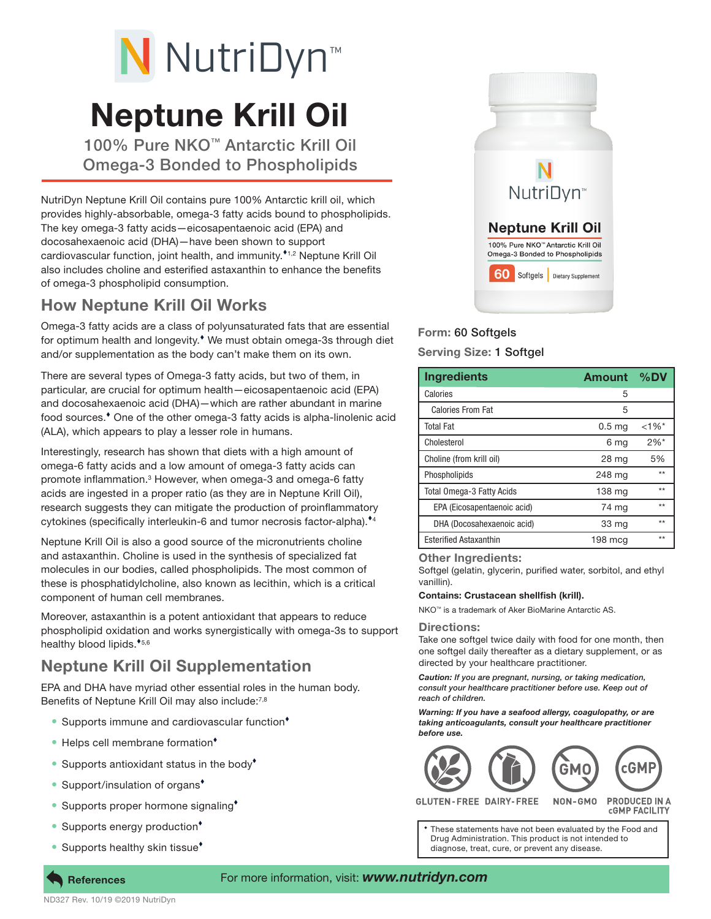# N NutriDyn<sup>™</sup>

# Neptune Krill Oil

100% Pure NKO™ Antarctic Krill Oil Omega-3 Bonded to Phospholipids

NutriDyn Neptune Krill Oil contains pure 100% Antarctic krill oil, which provides highly-absorbable, omega-3 fatty acids bound to phospholipids. The key omega-3 fatty acids—eicosapentaenoic acid (EPA) and docosahexaenoic acid (DHA)—have been shown to support cardiovascular function, joint health, and immunity.<sup>\*1,2</sup> Neptune Krill Oil also includes choline and esterified astaxanthin to enhance the benefits of omega-3 phospholipid consumption.

## How Neptune Krill Oil Works

Omega-3 fatty acids are a class of polyunsaturated fats that are essential for optimum health and longevity.<sup>\*</sup> We must obtain omega-3s through diet and/or supplementation as the body can't make them on its own.

There are several types of Omega-3 fatty acids, but two of them, in particular, are crucial for optimum health—eicosapentaenoic acid (EPA) and docosahexaenoic acid (DHA)—which are rather abundant in marine food sources.<sup>\*</sup> One of the other omega-3 fatty acids is alpha-linolenic acid (ALA), which appears to play a lesser role in humans.

Interestingly, research has shown that diets with a high amount of omega-6 fatty acids and a low amount of omega-3 fatty acids can promote inflammation.<sup>3</sup> However, when omega-3 and omega-6 fatty acids are ingested in a proper ratio (as they are in Neptune Krill Oil), research suggests they can mitigate the production of proinflammatory cytokines (specifically interleukin-6 and tumor necrosis factor-alpha).<sup>\*4</sup>

Neptune Krill Oil is also a good source of the micronutrients choline and astaxanthin. Choline is used in the synthesis of specialized fat molecules in our bodies, called phospholipids. The most common of these is phosphatidylcholine, also known as lecithin, which is a critical component of human cell membranes.

Moreover, astaxanthin is a potent antioxidant that appears to reduce phospholipid oxidation and works synergistically with omega-3s to support healthy blood lipids.<sup>\*5,6</sup>

# Neptune Krill Oil Supplementation

EPA and DHA have myriad other essential roles in the human body. Benefits of Neptune Krill Oil may also include:<sup>7,8</sup>

- Supports immune and cardiovascular function<sup>+</sup>
- Helps cell membrane formation<sup>+</sup>
- Supports antioxidant status in the body<sup>\*</sup>
- Support/insulation of organs<sup>+</sup>
- Supports proper hormone signaling<sup>+</sup>
- Supports energy production<sup>•</sup>
- Supports healthy skin tissue<sup>\*</sup>



### Form: 60 Softgels

Serving Size: 1 Softgel

| <b>Ingredients</b>               | <b>Amount</b>     | %DV                |
|----------------------------------|-------------------|--------------------|
| Calories                         | 5                 |                    |
| <b>Calories From Fat</b>         | 5                 |                    |
| <b>Total Fat</b>                 | 0.5 <sub>ma</sub> | $<1\%$ *           |
| Cholesterol                      | 6 mg              | $2\%$ <sup>*</sup> |
| Choline (from krill oil)         | 28 mg             | 5%                 |
| Phospholipids                    | 248 mg            | $***$              |
| <b>Total Omega-3 Fatty Acids</b> | 138 mg            | $***$              |
| EPA (Eicosapentaenoic acid)      | 74 mg             | $***$              |
| DHA (Docosahexaenoic acid)       | 33 mg             | $***$              |
| <b>Esterified Astaxanthin</b>    | $198 \text{ mcg}$ | $***$              |

#### Other Ingredients:

Softgel (gelatin, glycerin, purified water, sorbitol, and ethyl vanillin).

#### Contains: Crustacean shellfish (krill).

NKO™ is a trademark of Aker BioMarine Antarctic AS.

#### Directions:

Take one softgel twice daily with food for one month, then one softgel daily thereafter as a dietary supplement, or as directed by your healthcare practitioner.

*Caution: If you are pregnant, nursing, or taking medication, consult your healthcare practitioner before use. Keep out of reach of children.*

*Warning: If you have a seafood allergy, coagulopathy, or are taking anticoagulants, consult your healthcare practitioner before use.*



GLUTEN-FREE DAIRY-FREE NON-GMO **PRODUCED IN A CGMP FACILITY** 

These statements have not been evaluated by the Food and Drug Administration. This product is not intended to diagnose, treat, cure, or prevent any disease.

ND327 Rev. 10/19 ©2019 NutriDyn

**References** 

#### For more information, visit: *www.nutridyn.com*